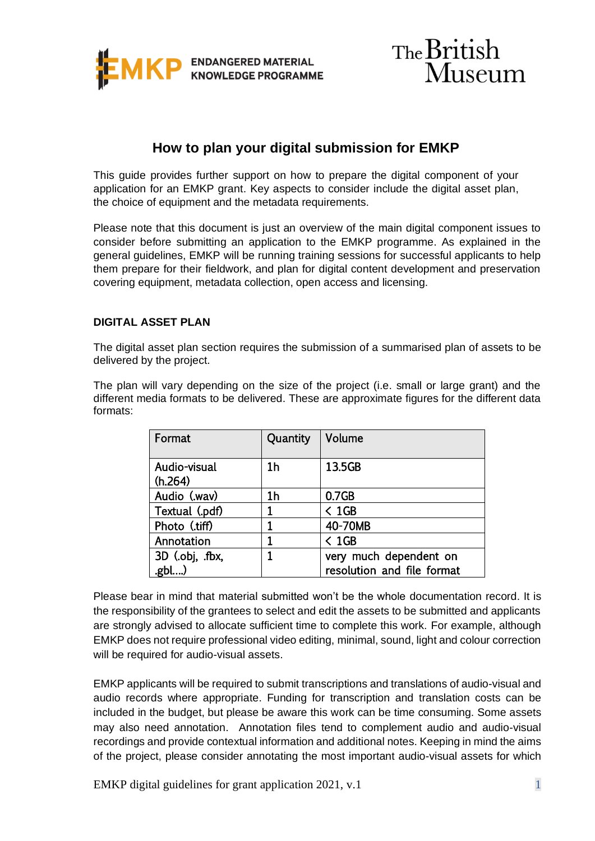



# **How to plan your digital submission for EMKP**

This guide provides further support on how to prepare the digital component of your application for an EMKP grant. Key aspects to consider include the digital asset plan, the choice of equipment and the metadata requirements.

Please note that this document is just an overview of the main digital component issues to consider before submitting an application to the EMKP programme. As explained in the general guidelines, EMKP will be running training sessions for successful applicants to help them prepare for their fieldwork, and plan for digital content development and preservation covering equipment, metadata collection, open access and licensing.

#### **DIGITAL ASSET PLAN**

The digital asset plan section requires the submission of a summarised plan of assets to be delivered by the project.

The plan will vary depending on the size of the project (i.e. small or large grant) and the different media formats to be delivered. These are approximate figures for the different data formats:

| Format                  | Quantity       | Volume                                               |
|-------------------------|----------------|------------------------------------------------------|
| Audio-visual<br>(h.264) | 1 <sub>h</sub> | 13.5GB                                               |
| Audio (.wav)            | 1h             | 0.7 <sub>GB</sub>                                    |
| Textual (.pdf)          | 1              | $\leq$ 1GB                                           |
| Photo (.tiff)           | 1              | 40-70MB                                              |
| Annotation              |                | $\leq 1$ GB                                          |
| 3D (.obj, .fbx,<br>.gbl |                | very much dependent on<br>resolution and file format |

Please bear in mind that material submitted won't be the whole documentation record. It is the responsibility of the grantees to select and edit the assets to be submitted and applicants are strongly advised to allocate sufficient time to complete this work. For example, although EMKP does not require professional video editing, minimal, sound, light and colour correction will be required for audio-visual assets.

EMKP applicants will be required to submit transcriptions and translations of audio-visual and audio records where appropriate. Funding for transcription and translation costs can be included in the budget, but please be aware this work can be time consuming. Some assets may also need annotation. Annotation files tend to complement audio and audio-visual recordings and provide contextual information and additional notes. Keeping in mind the aims of the project, please consider annotating the most important audio-visual assets for which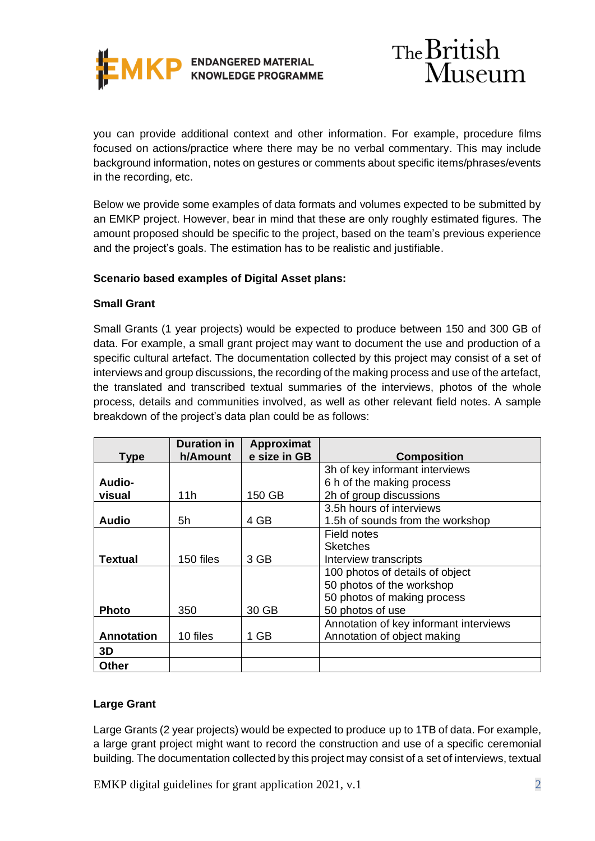

you can provide additional context and other information. For example, procedure films focused on actions/practice where there may be no verbal commentary. This may include background information, notes on gestures or comments about specific items/phrases/events in the recording, etc.

Below we provide some examples of data formats and volumes expected to be submitted by an EMKP project. However, bear in mind that these are only roughly estimated figures. The amount proposed should be specific to the project, based on the team's previous experience and the project's goals. The estimation has to be realistic and justifiable.

### **Scenario based examples of Digital Asset plans:**

#### **Small Grant**

Small Grants (1 year projects) would be expected to produce between 150 and 300 GB of data. For example, a small grant project may want to document the use and production of a specific cultural artefact. The documentation collected by this project may consist of a set of interviews and group discussions, the recording of the making process and use of the artefact, the translated and transcribed textual summaries of the interviews, photos of the whole process, details and communities involved, as well as other relevant field notes. A sample breakdown of the project's data plan could be as follows:

|                   | <b>Duration in</b> | Approximat   |                                        |
|-------------------|--------------------|--------------|----------------------------------------|
| <b>Type</b>       | h/Amount           | e size in GB | <b>Composition</b>                     |
|                   |                    |              | 3h of key informant interviews         |
| Audio-            |                    |              | 6 h of the making process              |
| visual            | 11h                | 150 GB       | 2h of group discussions                |
|                   |                    |              | 3.5h hours of interviews               |
| Audio             | 5h                 | 4 GB         | 1.5h of sounds from the workshop       |
|                   |                    |              | Field notes                            |
|                   |                    |              | <b>Sketches</b>                        |
| <b>Textual</b>    | 150 files          | 3 GB         | Interview transcripts                  |
|                   |                    |              | 100 photos of details of object        |
|                   |                    |              | 50 photos of the workshop              |
|                   |                    |              | 50 photos of making process            |
| <b>Photo</b>      | 350                | 30 GB        | 50 photos of use                       |
|                   |                    |              | Annotation of key informant interviews |
| <b>Annotation</b> | 10 files           | 1 GB         | Annotation of object making            |
| 3D                |                    |              |                                        |
| Other             |                    |              |                                        |

#### **Large Grant**

Large Grants (2 year projects) would be expected to produce up to 1TB of data. For example, a large grant project might want to record the construction and use of a specific ceremonial building. The documentation collected by this project may consist of a set of interviews, textual

EMKP digital guidelines for grant application  $2021$ , v.1 2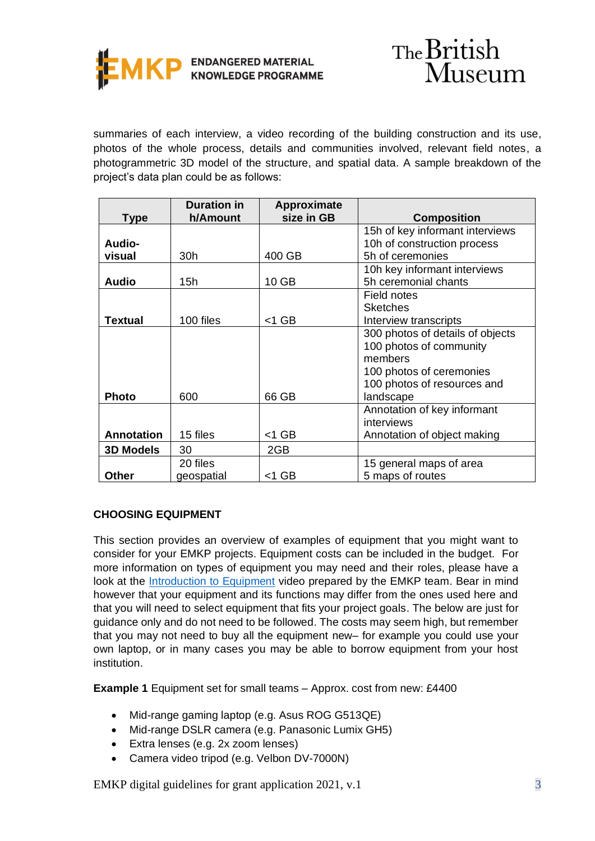

summaries of each interview, a video recording of the building construction and its use, photos of the whole process, details and communities involved, relevant field notes, a photogrammetric 3D model of the structure, and spatial data. A sample breakdown of the project's data plan could be as follows:

|                   | <b>Duration in</b> | Approximate |                                  |
|-------------------|--------------------|-------------|----------------------------------|
| <b>Type</b>       | h/Amount           | size in GB  | <b>Composition</b>               |
|                   |                    |             | 15h of key informant interviews  |
| Audio-            |                    |             | 10h of construction process      |
| visual            | 30h                | 400 GB      | 5h of ceremonies                 |
|                   |                    |             | 10h key informant interviews     |
| <b>Audio</b>      | 15h                | 10 GB       | 5h ceremonial chants             |
|                   |                    |             | Field notes                      |
|                   |                    |             | <b>Sketches</b>                  |
| <b>Textual</b>    | 100 files          | $<$ 1 GB    | Interview transcripts            |
|                   |                    |             | 300 photos of details of objects |
|                   |                    |             | 100 photos of community          |
|                   |                    |             | members                          |
|                   |                    |             | 100 photos of ceremonies         |
|                   |                    |             | 100 photos of resources and      |
| <b>Photo</b>      | 600                | 66 GB       | landscape                        |
|                   |                    |             | Annotation of key informant      |
|                   |                    |             | interviews                       |
| <b>Annotation</b> | 15 files           | $<$ 1 GB    | Annotation of object making      |
| <b>3D Models</b>  | 30                 | 2GB         |                                  |
|                   | 20 files           |             | 15 general maps of area          |
| <b>Other</b>      | geospatial         | $<$ 1 GB    | 5 maps of routes                 |

## **CHOOSING EQUIPMENT**

This section provides an overview of examples of equipment that you might want to consider for your EMKP projects. Equipment costs can be included in the budget. For more information on types of equipment you may need and their roles, please have a look at the [Introduction to Equipment](https://www.youtube.com/watch?v=kaqH6wPUGTM) video prepared by the EMKP team. Bear in mind however that your equipment and its functions may differ from the ones used here and that you will need to select equipment that fits your project goals. The below are just for guidance only and do not need to be followed. The costs may seem high, but remember that you may not need to buy all the equipment new– for example you could use your own laptop, or in many cases you may be able to borrow equipment from your host institution.

**Example 1** Equipment set for small teams – Approx. cost from new: £4400

- Mid-range gaming laptop (e.g. Asus ROG G513QE)
- Mid-range DSLR camera (e.g. Panasonic Lumix GH5)
- Extra lenses (e.g. 2x zoom lenses)
- Camera video tripod (e.g. Velbon DV-7000N)

EMKP digital guidelines for grant application  $2021$ , v.1  $\overline{3}$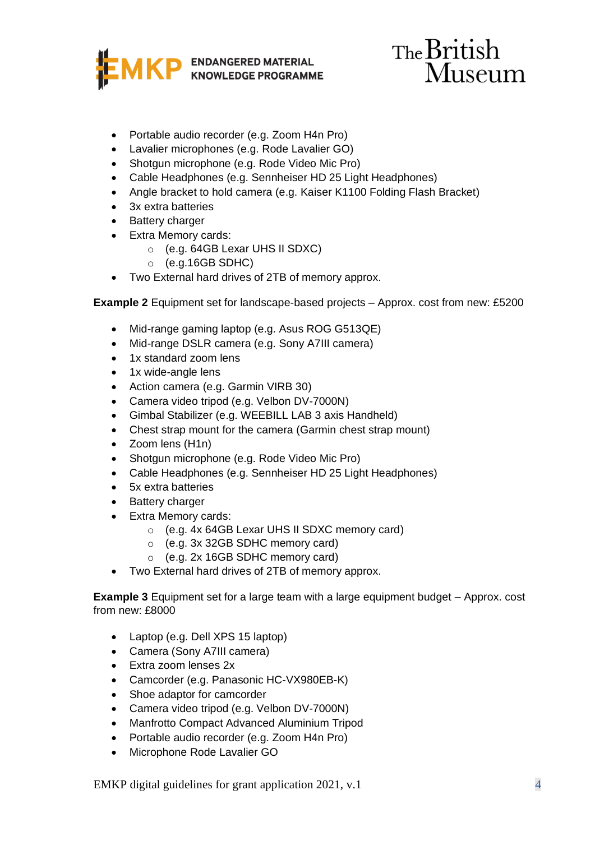

# The British Museum

- Portable audio recorder (e.g. Zoom H4n Pro)
- Lavalier microphones (e.g. Rode Lavalier GO)
- Shotgun microphone (e.g. Rode Video Mic Pro)
- Cable Headphones (e.g. Sennheiser HD 25 Light Headphones)
- Angle bracket to hold camera (e.g. Kaiser K1100 Folding Flash Bracket)
- 3x extra batteries
- Battery charger
- Extra Memory cards:
	- o (e.g. 64GB Lexar UHS II SDXC)
	- $\circ$  (e.g.16GB SDHC)
- Two External hard drives of 2TB of memory approx.

**Example 2** Equipment set for landscape-based projects – Approx. cost from new: £5200

- Mid-range gaming laptop (e.g. Asus ROG G513QE)
- Mid-range DSLR camera (e.g. Sony A7III camera)
- 1x standard zoom lens
- 1x wide-angle lens
- Action camera (e.g. Garmin VIRB 30)
- Camera video tripod (e.g. Velbon DV-7000N)
- Gimbal Stabilizer (e.g. WEEBILL LAB 3 axis Handheld)
- Chest strap mount for the camera (Garmin chest strap mount)
- Zoom lens (H1n)
- Shotgun microphone (e.g. Rode Video Mic Pro)
- Cable Headphones (e.g. Sennheiser HD 25 Light Headphones)
- 5x extra batteries
- Battery charger
- Extra Memory cards:
	- o (e.g. 4x 64GB Lexar UHS II SDXC memory card)
	- o (e.g. 3x 32GB SDHC memory card)
	- o (e.g. 2x 16GB SDHC memory card)
- Two External hard drives of 2TB of memory approx.

**Example 3** Equipment set for a large team with a large equipment budget – Approx. cost from new: £8000

- Laptop (e.g. Dell XPS 15 laptop)
- Camera (Sony A7III camera)
- Extra zoom lenses 2x
- Camcorder (e.g. Panasonic HC-VX980EB-K)
- Shoe adaptor for camcorder
- Camera video tripod (e.g. Velbon DV-7000N)
- Manfrotto Compact Advanced Aluminium Tripod
- Portable audio recorder (e.g. Zoom H4n Pro)
- Microphone Rode Lavalier GO

EMKP digital guidelines for grant application 2021, v.1 4